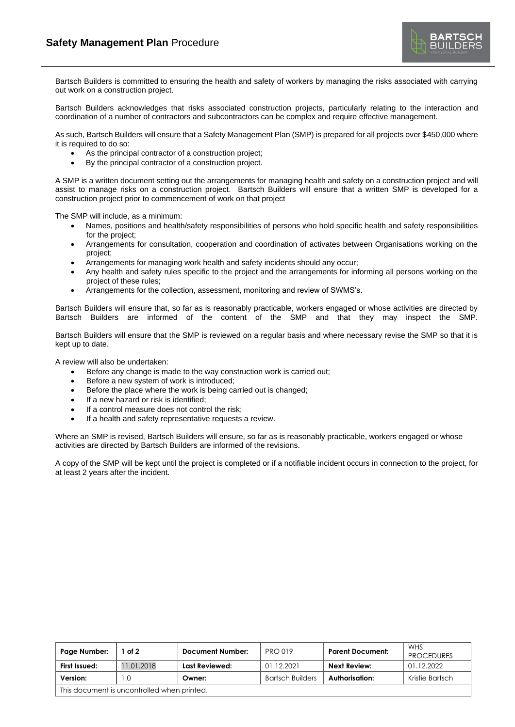

Bartsch Builders is committed to ensuring the health and safety of workers by managing the risks associated with carrying out work on a construction project.

Bartsch Builders acknowledges that risks associated construction projects, particularly relating to the interaction and coordination of a number of contractors and subcontractors can be complex and require effective management.

As such, Bartsch Builders will ensure that a Safety Management Plan (SMP) is prepared for all projects over \$450,000 where it is required to do so:

- As the principal contractor of a construction project;
- By the principal contractor of a construction project.

A SMP is a written document setting out the arrangements for managing health and safety on a construction project and will assist to manage risks on a construction project. Bartsch Builders will ensure that a written SMP is developed for a construction project prior to commencement of work on that project

The SMP will include, as a minimum:

- Names, positions and health/safety responsibilities of persons who hold specific health and safety responsibilities for the project;
- Arrangements for consultation, cooperation and coordination of activates between Organisations working on the project;
- Arrangements for managing work health and safety incidents should any occur;
- Any health and safety rules specific to the project and the arrangements for informing all persons working on the project of these rules;
- Arrangements for the collection, assessment, monitoring and review of SWMS's.

Bartsch Builders will ensure that, so far as is reasonably practicable, workers engaged or whose activities are directed by Bartsch Builders are informed of the content of the SMP and that they may inspect the SMP.

Bartsch Builders will ensure that the SMP is reviewed on a regular basis and where necessary revise the SMP so that it is kept up to date.

A review will also be undertaken:

- Before any change is made to the way construction work is carried out;
- Before a new system of work is introduced;
- Before the place where the work is being carried out is changed;
- If a new hazard or risk is identified;
- If a control measure does not control the risk;
- If a health and safety representative requests a review.

Where an SMP is revised, Bartsch Builders will ensure, so far as is reasonably practicable, workers engaged or whose activities are directed by Bartsch Builders are informed of the revisions.

A copy of the SMP will be kept until the project is completed or if a notifiable incident occurs in connection to the project, for at least 2 years after the incident.

| Page Number:                                | of 2       | <b>Document Number:</b> | <b>PRO 019</b>          | <b>Parent Document:</b> | WHS<br><b>PROCEDURES</b> |  |  |  |
|---------------------------------------------|------------|-------------------------|-------------------------|-------------------------|--------------------------|--|--|--|
| First Issued:                               | 11.01.2018 | Last Reviewed:          | 01.12.2021              | Next Review:            | 01.12.2022               |  |  |  |
| Version:                                    | I .O       | Owner:                  | <b>Bartsch Builders</b> | Authorisation:          | Kristie Bartsch          |  |  |  |
| This document is uncontrolled when printed. |            |                         |                         |                         |                          |  |  |  |